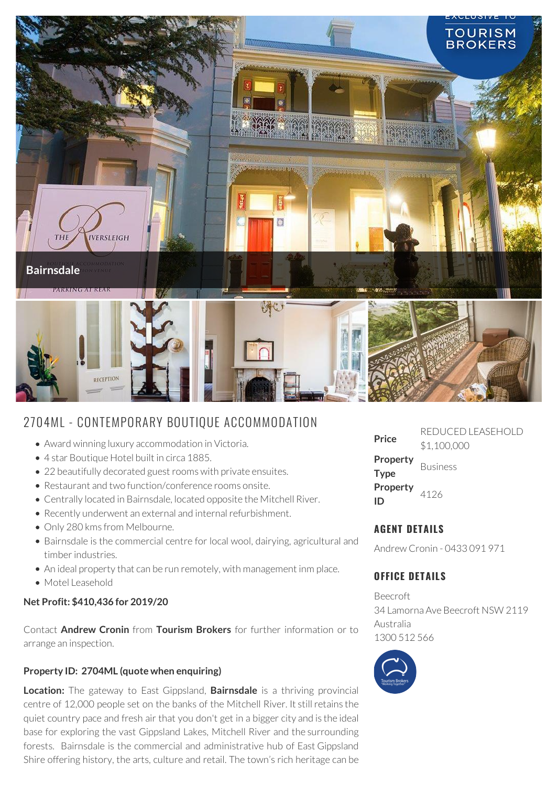

# 2704ML - CONTEMPORARY BOUTIQUE ACCOMMODATION

- Award winning luxury accommodation in Victoria.
- 4 star Boutique Hotel built in circa 1885.
- 22 beautifully decorated guest rooms with private ensuites.
- Restaurant and two function/conference rooms onsite.
- Centrally located in Bairnsdale, located opposite the Mitchell River.
- Recently underwent an external and internal refurbishment.
- Only 280 kms from Melbourne.
- Bairnsdale is the commercial centre for local wool, dairying, agricultural and timber industries.
- An ideal property that can be run remotely, with management inm place.
- Motel Leasehold

#### **Net Profit: \$410,436 for 2019/20**

Contact **Andrew Cronin** from **Tourism Brokers** for further information or to arrange an inspection.

#### **Property ID: 2704ML (quote when enquiring)**

**Location:** The gateway to East Gippsland, **Bairnsdale** is a thriving provincial centre of 12,000 people set on the banks of the Mitchell River. It still retains the quiet country pace and fresh air that you don't get in a bigger city and is the ideal base for exploring the vast Gippsland Lakes, Mitchell River and the surrounding forests. Bairnsdale is the commercial and administrative hub of East Gippsland Shire offering history, the arts, culture and retail. The town's rich heritage can be

| Price                   | REDUCED LEASEHOLD<br>\$1,100,000 |
|-------------------------|----------------------------------|
| Property<br><b>Type</b> | <b>Business</b>                  |
| Property<br>נוו         | 4126                             |

## **AGENT DETAILS**

Andrew Cronin - 0433 091 971

### **OFFICE DETAILS**

Beecroft 34 Lamorna Ave Beecroft NSW 2119 Australia 1300 512 566